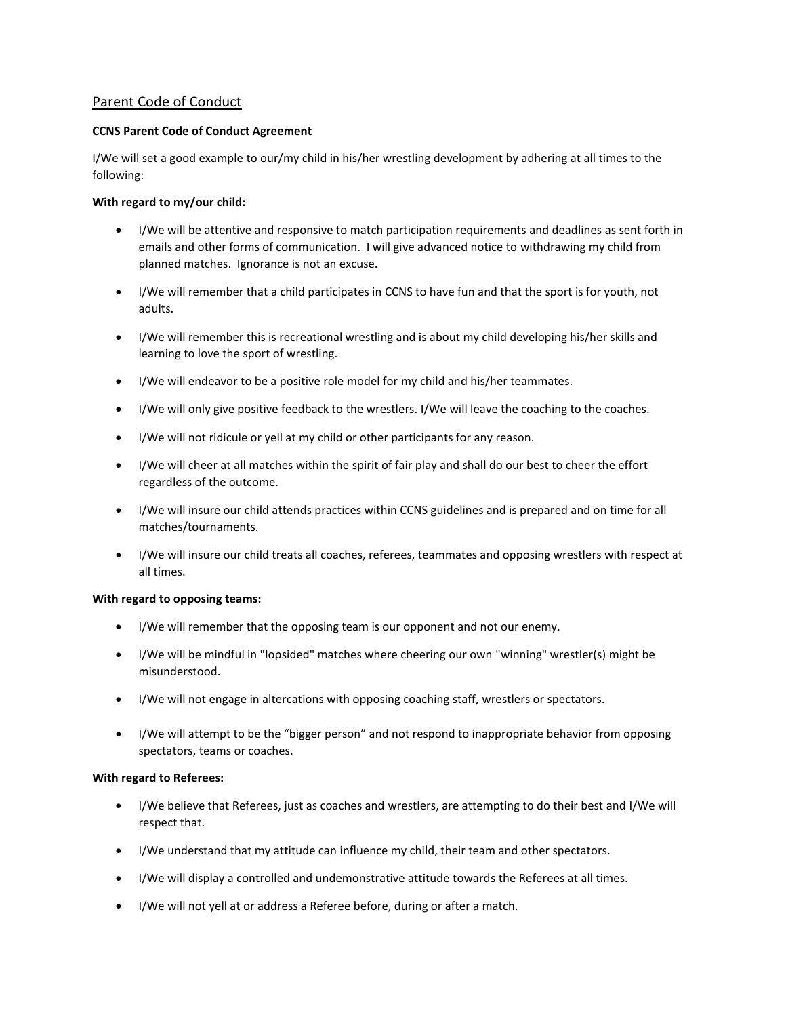# Parent Code of Conduct

## **CCNS Parent Code of Conduct Agreement**

I/We will set a good example to our/my child in his/her wrestling development by adhering at all times to the following:

## **With regard to my/our child:**

- I/We will be attentive and responsive to match participation requirements and deadlines as sent forth in emails and other forms of communication. I will give advanced notice to withdrawing my child from planned matches. Ignorance is not an excuse.
- I/We will remember that a child participates in CCNS to have fun and that the sport is for youth, not adults.
- I/We will remember this is recreational wrestling and is about my child developing his/her skills and learning to love the sport of wrestling.
- I/We will endeavor to be a positive role model for my child and his/her teammates.
- I/We will only give positive feedback to the wrestlers. I/We will leave the coaching to the coaches.
- I/We will not ridicule or yell at my child or other participants for any reason.
- I/We will cheer at all matches within the spirit of fair play and shall do our best to cheer the effort regardless of the outcome.
- I/We will insure our child attends practices within CCNS guidelines and is prepared and on time for all matches/tournaments.
- I/We will insure our child treats all coaches, referees, teammates and opposing wrestlers with respect at all times.

## **With regard to opposing teams:**

- I/We will remember that the opposing team is our opponent and not our enemy.
- I/We will be mindful in "lopsided" matches where cheering our own "winning" wrestler(s) might be misunderstood.
- I/We will not engage in altercations with opposing coaching staff, wrestlers or spectators.
- I/We will attempt to be the "bigger person" and not respond to inappropriate behavior from opposing spectators, teams or coaches.

## **With regard to Referees:**

- I/We believe that Referees, just as coaches and wrestlers, are attempting to do their best and I/We will respect that.
- I/We understand that my attitude can influence my child, their team and other spectators.
- I/We will display a controlled and undemonstrative attitude towards the Referees at all times.
- I/We will not yell at or address a Referee before, during or after a match.